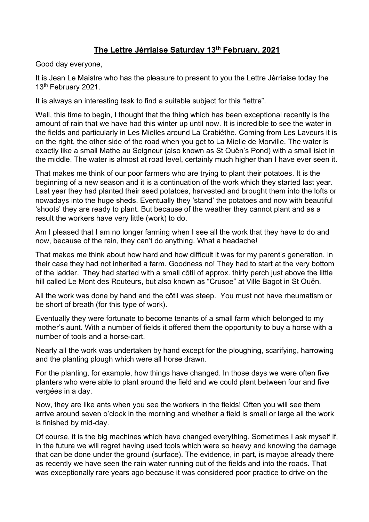## **The Lettre Jèrriaise Saturday 13th February, 2021**

Good day everyone,

It is Jean Le Maistre who has the pleasure to present to you the Lettre Jèrriaise today the 13<sup>th</sup> February 2021.

It is always an interesting task to find a suitable subject for this "lettre".

Well, this time to begin, I thought that the thing which has been exceptional recently is the amount of rain that we have had this winter up until now. It is incredible to see the water in the fields and particularly in Les Mielles around La Crabiéthe. Coming from Les Laveurs it is on the right, the other side of the road when you get to La Mielle de Morville. The water is exactly like a small Mathe au Seigneur (also known as St Ouën's Pond) with a small islet in the middle. The water is almost at road level, certainly much higher than I have ever seen it.

That makes me think of our poor farmers who are trying to plant their potatoes. It is the beginning of a new season and it is a continuation of the work which they started last year. Last year they had planted their seed potatoes, harvested and brought them into the lofts or nowadays into the huge sheds. Eventually they 'stand' the potatoes and now with beautiful 'shoots' they are ready to plant. But because of the weather they cannot plant and as a result the workers have very little (work) to do.

Am I pleased that I am no longer farming when I see all the work that they have to do and now, because of the rain, they can't do anything. What a headache!

That makes me think about how hard and how difficult it was for my parent's generation. In their case they had not inherited a farm. Goodness no! They had to start at the very bottom of the ladder. They had started with a small côtil of approx. thirty perch just above the little hill called Le Mont des Routeurs, but also known as "Crusoe" at Ville Bagot in St Ouën.

All the work was done by hand and the côtil was steep. You must not have rheumatism or be short of breath (for this type of work).

Eventually they were fortunate to become tenants of a small farm which belonged to my mother's aunt. With a number of fields it offered them the opportunity to buy a horse with a number of tools and a horse-cart.

Nearly all the work was undertaken by hand except for the ploughing, scarifying, harrowing and the planting plough which were all horse drawn.

For the planting, for example, how things have changed. In those days we were often five planters who were able to plant around the field and we could plant between four and five vergées in a day.

Now, they are like ants when you see the workers in the fields! Often you will see them arrive around seven o'clock in the morning and whether a field is small or large all the work is finished by mid-day.

Of course, it is the big machines which have changed everything. Sometimes I ask myself if, in the future we will regret having used tools which were so heavy and knowing the damage that can be done under the ground (surface). The evidence, in part, is maybe already there as recently we have seen the rain water running out of the fields and into the roads. That was exceptionally rare years ago because it was considered poor practice to drive on the